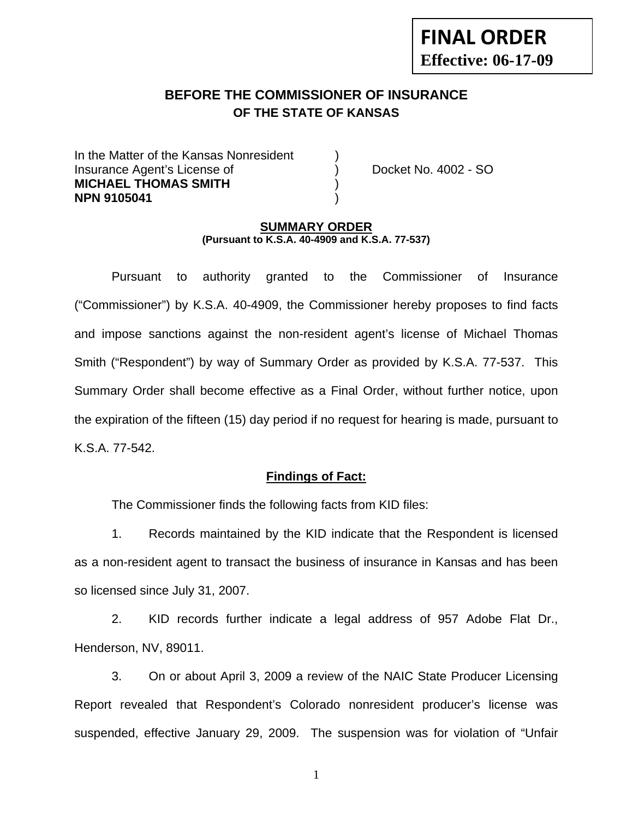# **FINAL ORDER Effective: 06-17-09**

# **BEFORE THE COMMISSIONER OF INSURANCE OF THE STATE OF KANSAS**

In the Matter of the Kansas Nonresident Insurance Agent's License of ) Docket No. 4002 - SO **MICHAEL THOMAS SMITH** ) **NPN 9105041** )

#### **SUMMARY ORDER (Pursuant to K.S.A. 40-4909 and K.S.A. 77-537)**

 Pursuant to authority granted to the Commissioner of Insurance ("Commissioner") by K.S.A. 40-4909, the Commissioner hereby proposes to find facts and impose sanctions against the non-resident agent's license of Michael Thomas Smith ("Respondent") by way of Summary Order as provided by K.S.A. 77-537. This Summary Order shall become effective as a Final Order, without further notice, upon the expiration of the fifteen (15) day period if no request for hearing is made, pursuant to K.S.A. 77-542.

## **Findings of Fact:**

The Commissioner finds the following facts from KID files:

 1. Records maintained by the KID indicate that the Respondent is licensed as a non-resident agent to transact the business of insurance in Kansas and has been so licensed since July 31, 2007.

 2. KID records further indicate a legal address of 957 Adobe Flat Dr., Henderson, NV, 89011.

 3. On or about April 3, 2009 a review of the NAIC State Producer Licensing Report revealed that Respondent's Colorado nonresident producer's license was suspended, effective January 29, 2009. The suspension was for violation of "Unfair

1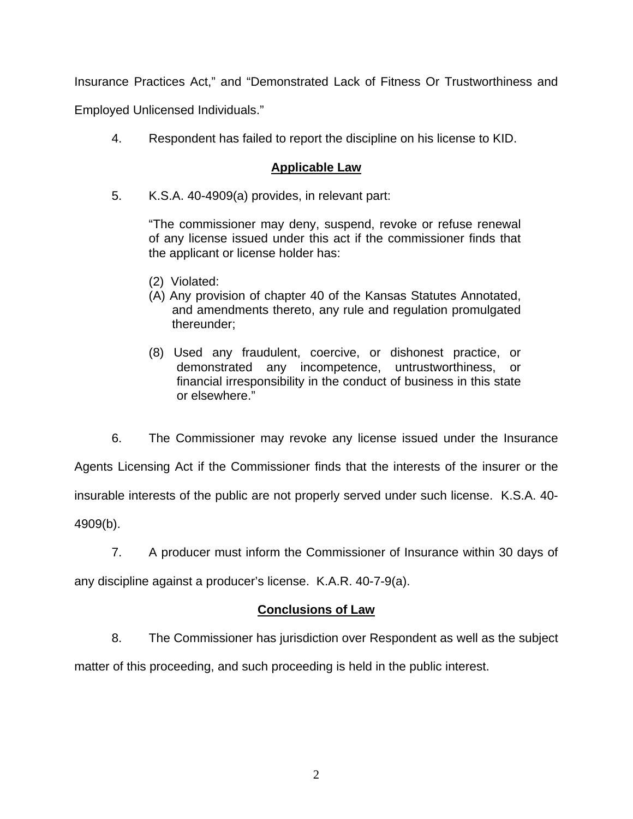Insurance Practices Act," and "Demonstrated Lack of Fitness Or Trustworthiness and

Employed Unlicensed Individuals."

4. Respondent has failed to report the discipline on his license to KID.

## **Applicable Law**

5. K.S.A. 40-4909(a) provides, in relevant part:

"The commissioner may deny, suspend, revoke or refuse renewal of any license issued under this act if the commissioner finds that the applicant or license holder has:

- (2) Violated:
- (A) Any provision of chapter 40 of the Kansas Statutes Annotated, and amendments thereto, any rule and regulation promulgated thereunder;
- (8) Used any fraudulent, coercive, or dishonest practice, or demonstrated any incompetence, untrustworthiness, or financial irresponsibility in the conduct of business in this state or elsewhere."

 6. The Commissioner may revoke any license issued under the Insurance Agents Licensing Act if the Commissioner finds that the interests of the insurer or the insurable interests of the public are not properly served under such license. K.S.A. 40- 4909(b).

7. A producer must inform the Commissioner of Insurance within 30 days of

any discipline against a producer's license. K.A.R. 40-7-9(a).

## **Conclusions of Law**

8. The Commissioner has jurisdiction over Respondent as well as the subject

matter of this proceeding, and such proceeding is held in the public interest.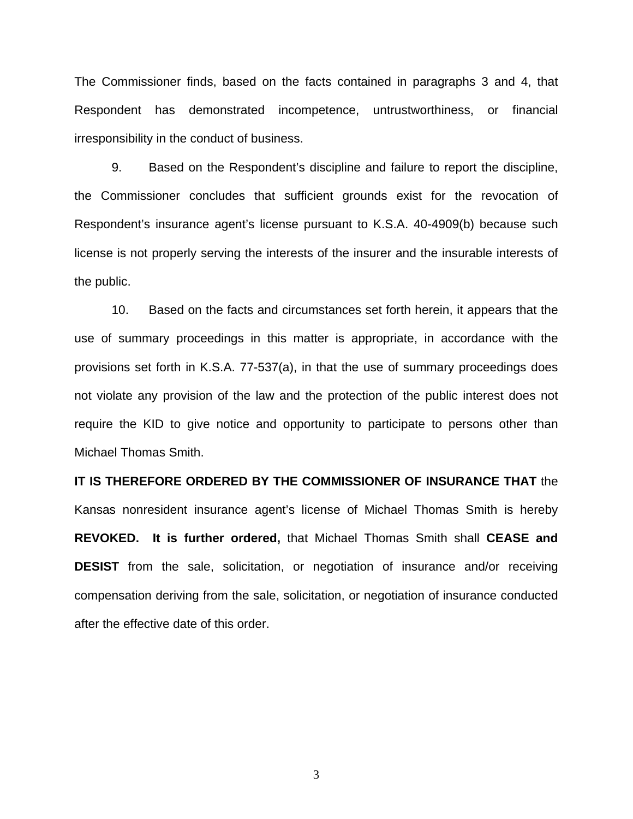The Commissioner finds, based on the facts contained in paragraphs 3 and 4, that Respondent has demonstrated incompetence, untrustworthiness, or financial irresponsibility in the conduct of business.

 9. Based on the Respondent's discipline and failure to report the discipline, the Commissioner concludes that sufficient grounds exist for the revocation of Respondent's insurance agent's license pursuant to K.S.A. 40-4909(b) because such license is not properly serving the interests of the insurer and the insurable interests of the public.

 10. Based on the facts and circumstances set forth herein, it appears that the use of summary proceedings in this matter is appropriate, in accordance with the provisions set forth in K.S.A. 77-537(a), in that the use of summary proceedings does not violate any provision of the law and the protection of the public interest does not require the KID to give notice and opportunity to participate to persons other than Michael Thomas Smith.

**IT IS THEREFORE ORDERED BY THE COMMISSIONER OF INSURANCE THAT** the Kansas nonresident insurance agent's license of Michael Thomas Smith is hereby **REVOKED. It is further ordered,** that Michael Thomas Smith shall **CEASE and DESIST** from the sale, solicitation, or negotiation of insurance and/or receiving compensation deriving from the sale, solicitation, or negotiation of insurance conducted after the effective date of this order.

3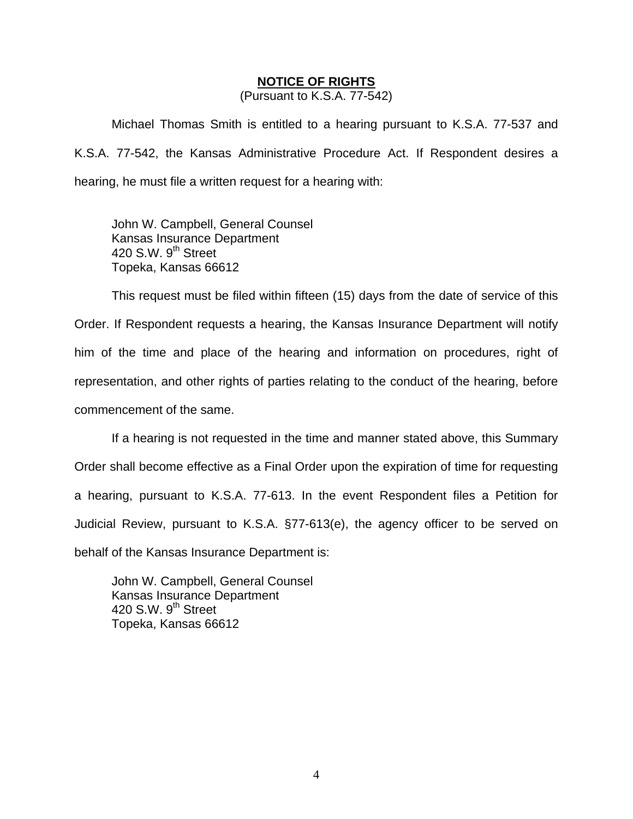#### **NOTICE OF RIGHTS**

(Pursuant to K.S.A. 77-542)

Michael Thomas Smith is entitled to a hearing pursuant to K.S.A. 77-537 and K.S.A. 77-542, the Kansas Administrative Procedure Act. If Respondent desires a hearing, he must file a written request for a hearing with:

 John W. Campbell, General Counsel Kansas Insurance Department 420 S.W. 9<sup>th</sup> Street Topeka, Kansas 66612

This request must be filed within fifteen (15) days from the date of service of this Order. If Respondent requests a hearing, the Kansas Insurance Department will notify him of the time and place of the hearing and information on procedures, right of representation, and other rights of parties relating to the conduct of the hearing, before commencement of the same.

If a hearing is not requested in the time and manner stated above, this Summary Order shall become effective as a Final Order upon the expiration of time for requesting a hearing, pursuant to K.S.A. 77-613. In the event Respondent files a Petition for Judicial Review, pursuant to K.S.A. §77-613(e), the agency officer to be served on behalf of the Kansas Insurance Department is:

 John W. Campbell, General Counsel Kansas Insurance Department 420 S.W.  $9<sup>th</sup>$  Street Topeka, Kansas 66612